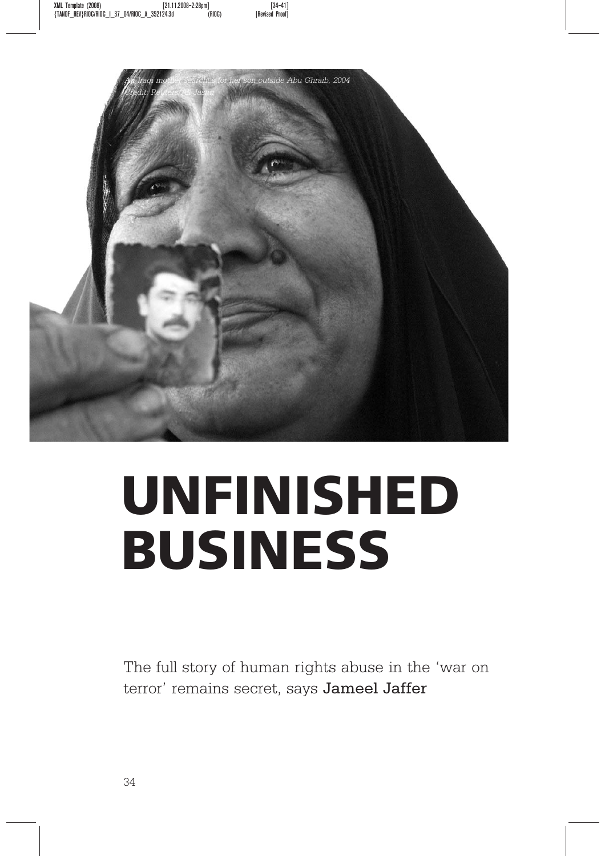



# UNFINISHED BUSINESS

The full story of human rights abuse in the 'war on terror' remains secret, says Jameel Jaffer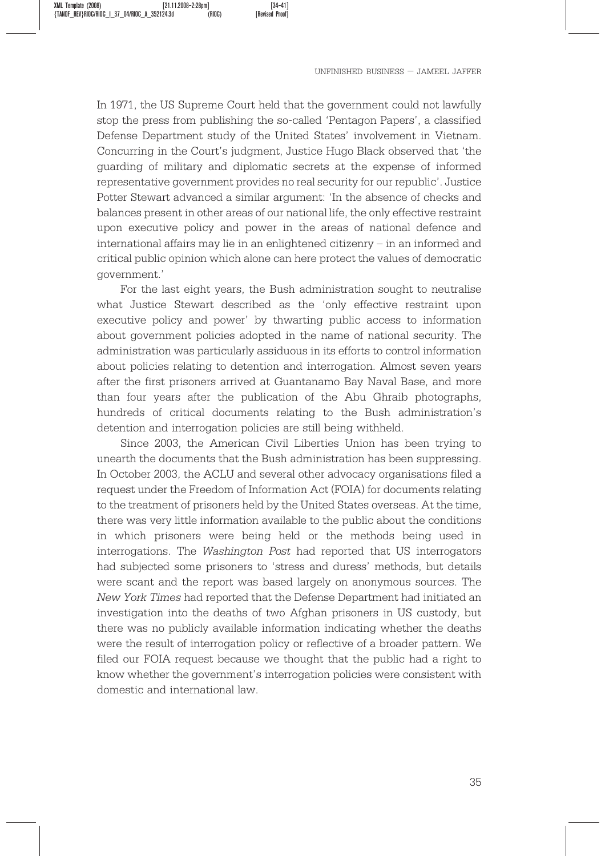UNFINISHED BUSINESS – JAMEEL JAFFER

In 1971, the US Supreme Court held that the government could not lawfully stop the press from publishing the so-called 'Pentagon Papers', a classified Defense Department study of the United States' involvement in Vietnam. Concurring in the Court's judgment, Justice Hugo Black observed that 'the guarding of military and diplomatic secrets at the expense of informed representative government provides no real security for our republic'. Justice Potter Stewart advanced a similar argument: 'In the absence of checks and balances present in other areas of our national life, the only effective restraint upon executive policy and power in the areas of national defence and international affairs may lie in an enlightened citizenry – in an informed and critical public opinion which alone can here protect the values of democratic government.'

For the last eight years, the Bush administration sought to neutralise what Justice Stewart described as the 'only effective restraint upon executive policy and power' by thwarting public access to information about government policies adopted in the name of national security. The administration was particularly assiduous in its efforts to control information about policies relating to detention and interrogation. Almost seven years after the first prisoners arrived at Guantanamo Bay Naval Base, and more than four years after the publication of the Abu Ghraib photographs, hundreds of critical documents relating to the Bush administration's detention and interrogation policies are still being withheld.

Since 2003, the American Civil Liberties Union has been trying to unearth the documents that the Bush administration has been suppressing. In October 2003, the ACLU and several other advocacy organisations filed a request under the Freedom of Information Act (FOIA) for documents relating to the treatment of prisoners held by the United States overseas. At the time, there was very little information available to the public about the conditions in which prisoners were being held or the methods being used in interrogations. The Washington Post had reported that US interrogators had subjected some prisoners to 'stress and duress' methods, but details were scant and the report was based largely on anonymous sources. The New York Times had reported that the Defense Department had initiated an investigation into the deaths of two Afghan prisoners in US custody, but there was no publicly available information indicating whether the deaths were the result of interrogation policy or reflective of a broader pattern. We filed our FOIA request because we thought that the public had a right to know whether the government's interrogation policies were consistent with domestic and international law.

35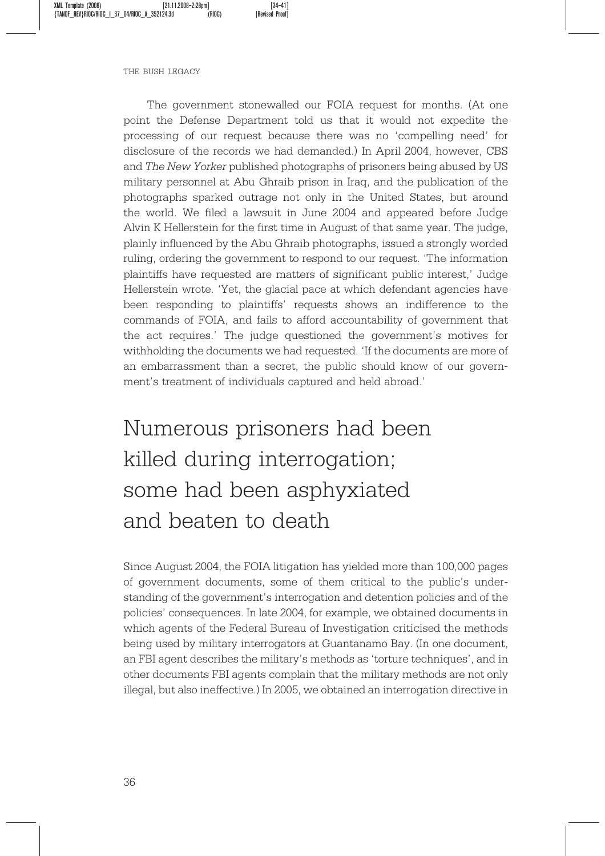### THE BUSH LEGACY

The government stonewalled our FOIA request for months. (At one point the Defense Department told us that it would not expedite the processing of our request because there was no 'compelling need' for disclosure of the records we had demanded.) In April 2004, however, CBS and The New Yorker published photographs of prisoners being abused by US military personnel at Abu Ghraib prison in Iraq, and the publication of the photographs sparked outrage not only in the United States, but around the world. We filed a lawsuit in June 2004 and appeared before Judge Alvin K Hellerstein for the first time in August of that same year. The judge, plainly influenced by the Abu Ghraib photographs, issued a strongly worded ruling, ordering the government to respond to our request. 'The information plaintiffs have requested are matters of significant public interest,' Judge Hellerstein wrote. 'Yet, the glacial pace at which defendant agencies have been responding to plaintiffs' requests shows an indifference to the commands of FOIA, and fails to afford accountability of government that the act requires.' The judge questioned the government's motives for withholding the documents we had requested. 'If the documents are more of an embarrassment than a secret, the public should know of our government's treatment of individuals captured and held abroad.'

## Numerous prisoners had been killed during interrogation; some had been asphyxiated and beaten to death

Since August 2004, the FOIA litigation has yielded more than 100,000 pages of government documents, some of them critical to the public's understanding of the government's interrogation and detention policies and of the policies' consequences. In late 2004, for example, we obtained documents in which agents of the Federal Bureau of Investigation criticised the methods being used by military interrogators at Guantanamo Bay. (In one document, an FBI agent describes the military's methods as 'torture techniques', and in other documents FBI agents complain that the military methods are not only illegal, but also ineffective.) In 2005, we obtained an interrogation directive in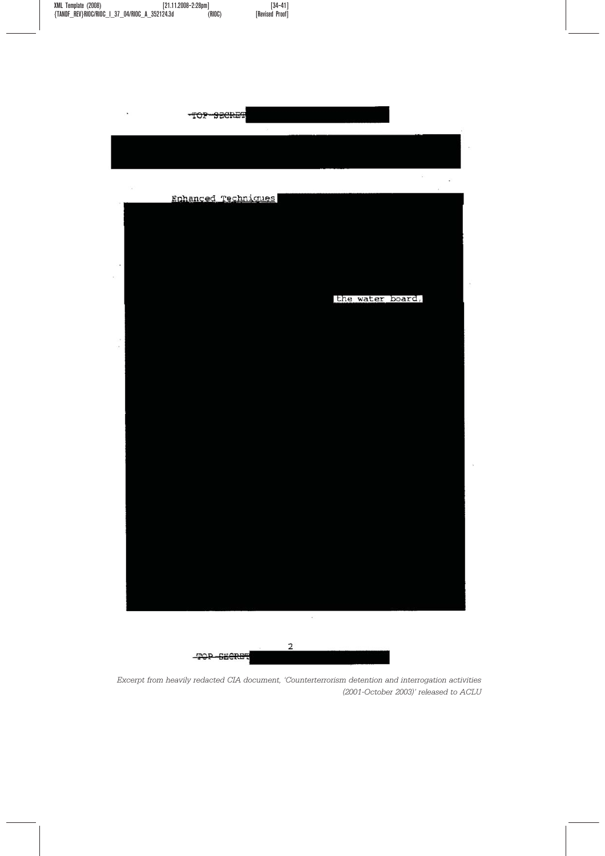

XML Template (2008) [21.11.2008–2:28pm] [34–41] {TANDF\_REV}RIOC/RIOC\_I\_37\_04/RIOC\_A\_352124.3d (RIOC) [Revised Proof]

Excerpt from heavily redacted CIA document, 'Counterterrorism detention and interrogation activities (2001-October 2003)' released to ACLU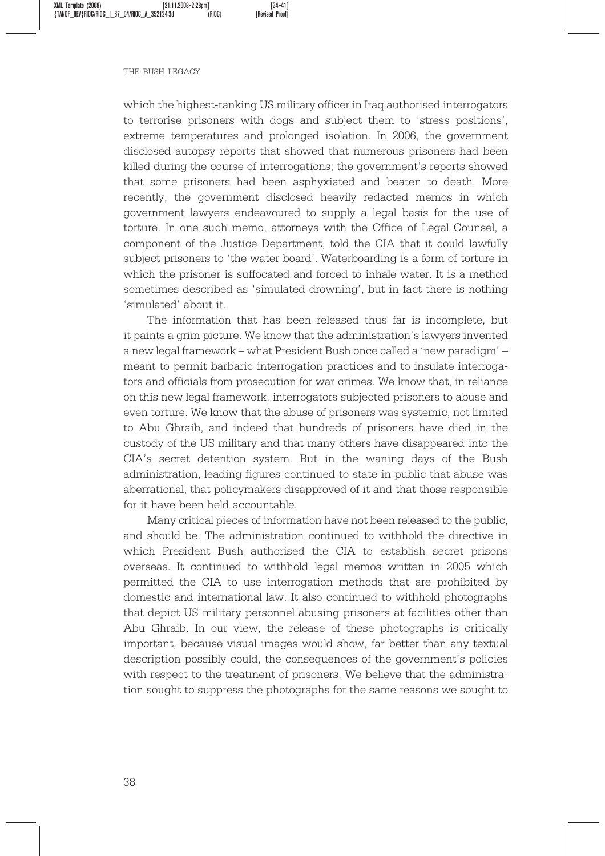#### THE BUSH LEGACY

which the highest-ranking US military officer in Iraq authorised interrogators to terrorise prisoners with dogs and subject them to 'stress positions', extreme temperatures and prolonged isolation. In 2006, the government disclosed autopsy reports that showed that numerous prisoners had been killed during the course of interrogations; the government's reports showed that some prisoners had been asphyxiated and beaten to death. More recently, the government disclosed heavily redacted memos in which government lawyers endeavoured to supply a legal basis for the use of torture. In one such memo, attorneys with the Office of Legal Counsel, a component of the Justice Department, told the CIA that it could lawfully subject prisoners to 'the water board'. Waterboarding is a form of torture in which the prisoner is suffocated and forced to inhale water. It is a method sometimes described as 'simulated drowning', but in fact there is nothing 'simulated' about it.

The information that has been released thus far is incomplete, but it paints a grim picture. We know that the administration's lawyers invented a new legal framework – what President Bush once called a 'new paradigm' – meant to permit barbaric interrogation practices and to insulate interrogators and officials from prosecution for war crimes. We know that, in reliance on this new legal framework, interrogators subjected prisoners to abuse and even torture. We know that the abuse of prisoners was systemic, not limited to Abu Ghraib, and indeed that hundreds of prisoners have died in the custody of the US military and that many others have disappeared into the CIA's secret detention system. But in the waning days of the Bush administration, leading figures continued to state in public that abuse was aberrational, that policymakers disapproved of it and that those responsible for it have been held accountable.

Many critical pieces of information have not been released to the public, and should be. The administration continued to withhold the directive in which President Bush authorised the CIA to establish secret prisons overseas. It continued to withhold legal memos written in 2005 which permitted the CIA to use interrogation methods that are prohibited by domestic and international law. It also continued to withhold photographs that depict US military personnel abusing prisoners at facilities other than Abu Ghraib. In our view, the release of these photographs is critically important, because visual images would show, far better than any textual description possibly could, the consequences of the government's policies with respect to the treatment of prisoners. We believe that the administration sought to suppress the photographs for the same reasons we sought to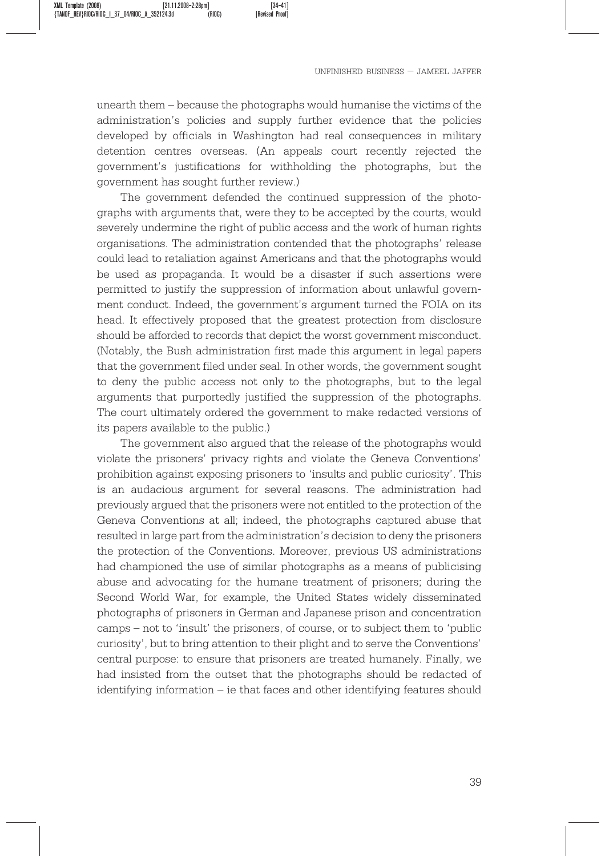UNFINISHED BUSINESS – JAMEEL JAFFER

unearth them – because the photographs would humanise the victims of the administration's policies and supply further evidence that the policies developed by officials in Washington had real consequences in military detention centres overseas. (An appeals court recently rejected the government's justifications for withholding the photographs, but the government has sought further review.)

The government defended the continued suppression of the photographs with arguments that, were they to be accepted by the courts, would severely undermine the right of public access and the work of human rights organisations. The administration contended that the photographs' release could lead to retaliation against Americans and that the photographs would be used as propaganda. It would be a disaster if such assertions were permitted to justify the suppression of information about unlawful government conduct. Indeed, the government's argument turned the FOIA on its head. It effectively proposed that the greatest protection from disclosure should be afforded to records that depict the worst government misconduct. (Notably, the Bush administration first made this argument in legal papers that the government filed under seal. In other words, the government sought to deny the public access not only to the photographs, but to the legal arguments that purportedly justified the suppression of the photographs. The court ultimately ordered the government to make redacted versions of its papers available to the public.)

The government also argued that the release of the photographs would violate the prisoners' privacy rights and violate the Geneva Conventions' prohibition against exposing prisoners to 'insults and public curiosity'. This is an audacious argument for several reasons. The administration had previously argued that the prisoners were not entitled to the protection of the Geneva Conventions at all; indeed, the photographs captured abuse that resulted in large part from the administration's decision to deny the prisoners the protection of the Conventions. Moreover, previous US administrations had championed the use of similar photographs as a means of publicising abuse and advocating for the humane treatment of prisoners; during the Second World War, for example, the United States widely disseminated photographs of prisoners in German and Japanese prison and concentration camps – not to 'insult' the prisoners, of course, or to subject them to 'public curiosity', but to bring attention to their plight and to serve the Conventions' central purpose: to ensure that prisoners are treated humanely. Finally, we had insisted from the outset that the photographs should be redacted of identifying information – ie that faces and other identifying features should

39